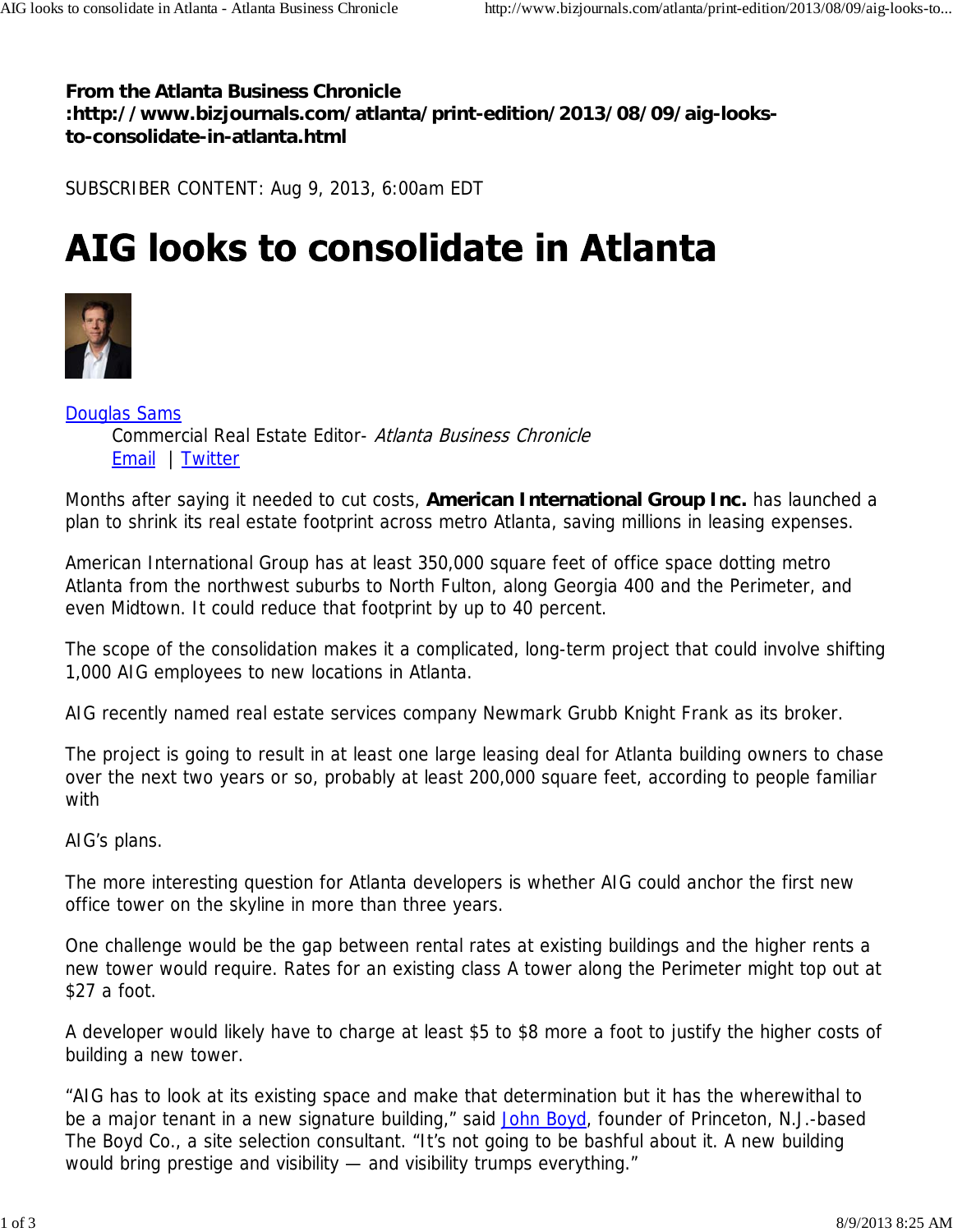**From the Atlanta Business Chronicle :http://www.bizjournals.com/atlanta/print-edition/2013/08/09/aig-looksto-consolidate-in-atlanta.html**

SUBSCRIBER CONTENT: Aug 9, 2013, 6:00am EDT

## AIG looks to consolidate in Atlanta



Douglas Sams Commercial Real Estate Editor- Atlanta Business Chronicle Email | Twitter

Months after saying it needed to cut costs, **American International Group Inc.** has launched a plan to shrink its real estate footprint across metro Atlanta, saving millions in leasing expenses.

American International Group has at least 350,000 square feet of office space dotting metro Atlanta from the northwest suburbs to North Fulton, along Georgia 400 and the Perimeter, and even Midtown. It could reduce that footprint by up to 40 percent.

The scope of the consolidation makes it a complicated, long-term project that could involve shifting 1,000 AIG employees to new locations in Atlanta.

AIG recently named real estate services company Newmark Grubb Knight Frank as its broker.

The project is going to result in at least one large leasing deal for Atlanta building owners to chase over the next two years or so, probably at least 200,000 square feet, according to people familiar with

AIG's plans.

The more interesting question for Atlanta developers is whether AIG could anchor the first new office tower on the skyline in more than three years.

One challenge would be the gap between rental rates at existing buildings and the higher rents a new tower would require. Rates for an existing class A tower along the Perimeter might top out at \$27 a foot.

A developer would likely have to charge at least \$5 to \$8 more a foot to justify the higher costs of building a new tower.

"AIG has to look at its existing space and make that determination but it has the wherewithal to be a major tenant in a new signature building," said John Boyd, founder of Princeton, N.J.-based The Boyd Co., a site selection consultant. "It's not going to be bashful about it. A new building would bring prestige and visibility — and visibility trumps everything."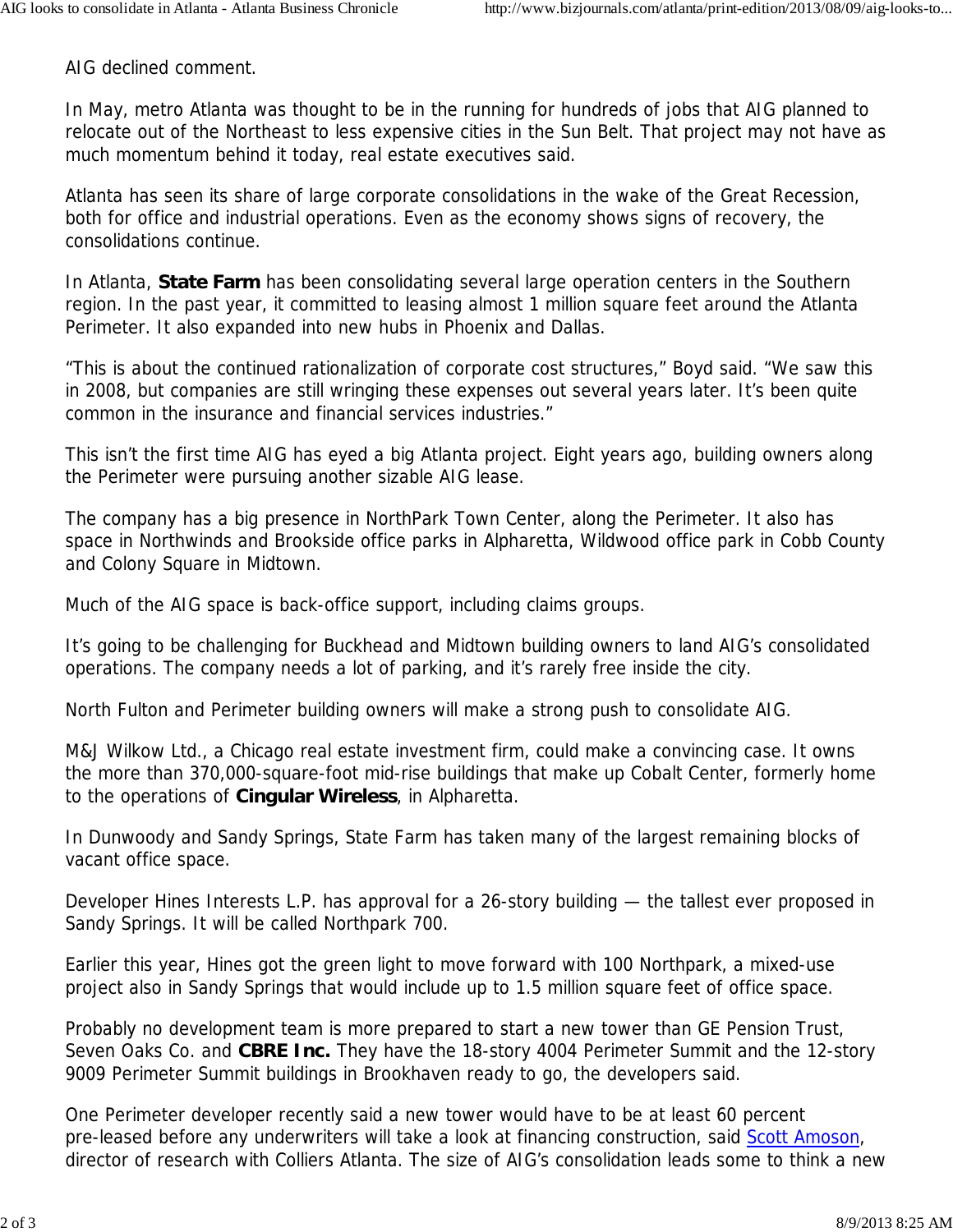AIG declined comment.

In May, metro Atlanta was thought to be in the running for hundreds of jobs that AIG planned to relocate out of the Northeast to less expensive cities in the Sun Belt. That project may not have as much momentum behind it today, real estate executives said.

Atlanta has seen its share of large corporate consolidations in the wake of the Great Recession, both for office and industrial operations. Even as the economy shows signs of recovery, the consolidations continue.

In Atlanta, **State Farm** has been consolidating several large operation centers in the Southern region. In the past year, it committed to leasing almost 1 million square feet around the Atlanta Perimeter. It also expanded into new hubs in Phoenix and Dallas.

"This is about the continued rationalization of corporate cost structures," Boyd said. "We saw this in 2008, but companies are still wringing these expenses out several years later. It's been quite common in the insurance and financial services industries."

This isn't the first time AIG has eyed a big Atlanta project. Eight years ago, building owners along the Perimeter were pursuing another sizable AIG lease.

The company has a big presence in NorthPark Town Center, along the Perimeter. It also has space in Northwinds and Brookside office parks in Alpharetta, Wildwood office park in Cobb County and Colony Square in Midtown.

Much of the AIG space is back-office support, including claims groups.

It's going to be challenging for Buckhead and Midtown building owners to land AIG's consolidated operations. The company needs a lot of parking, and it's rarely free inside the city.

North Fulton and Perimeter building owners will make a strong push to consolidate AIG.

M&J Wilkow Ltd., a Chicago real estate investment firm, could make a convincing case. It owns the more than 370,000-square-foot mid-rise buildings that make up Cobalt Center, formerly home to the operations of **Cingular Wireless**, in Alpharetta.

In Dunwoody and Sandy Springs, State Farm has taken many of the largest remaining blocks of vacant office space.

Developer Hines Interests L.P. has approval for a 26-story building — the tallest ever proposed in Sandy Springs. It will be called Northpark 700.

Earlier this year, Hines got the green light to move forward with 100 Northpark, a mixed-use project also in Sandy Springs that would include up to 1.5 million square feet of office space.

Probably no development team is more prepared to start a new tower than GE Pension Trust, Seven Oaks Co. and **CBRE Inc.** They have the 18-story 4004 Perimeter Summit and the 12-story 9009 Perimeter Summit buildings in Brookhaven ready to go, the developers said.

One Perimeter developer recently said a new tower would have to be at least 60 percent pre-leased before any underwriters will take a look at financing construction, said Scott Amoson, director of research with Colliers Atlanta. The size of AIG's consolidation leads some to think a new